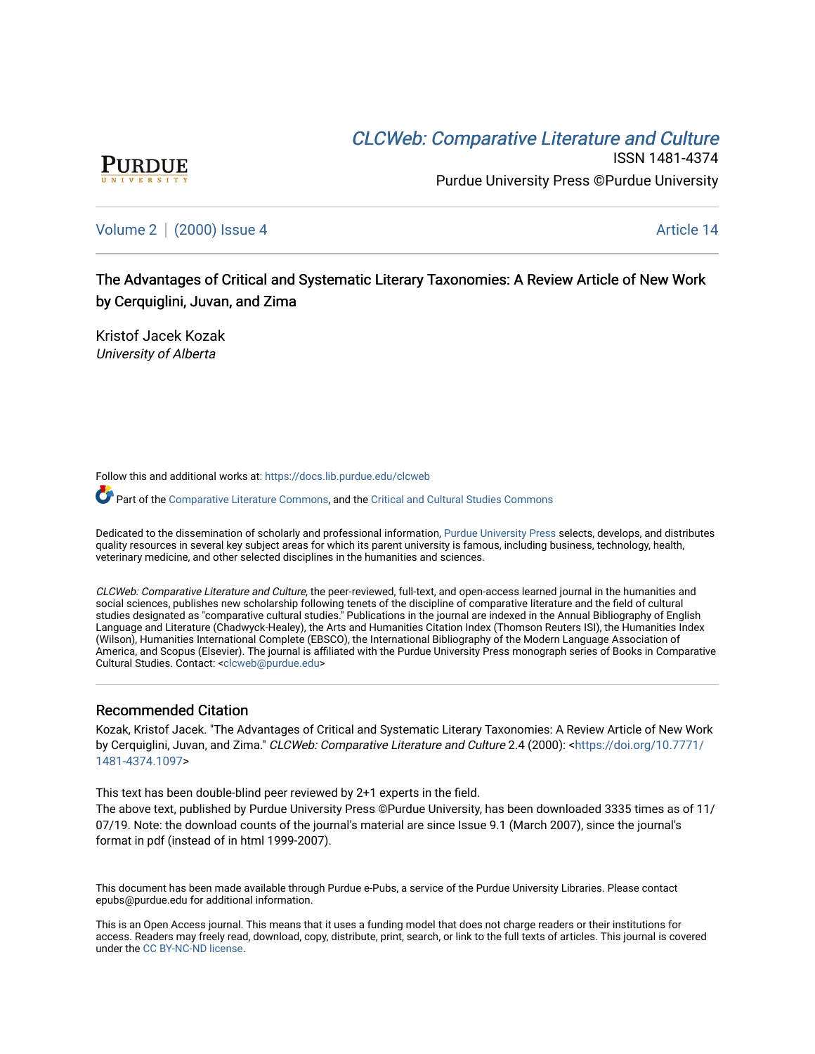## CLCW[eb: Comparative Liter](https://docs.lib.purdue.edu/clcweb)ature and Culture



ISSN 1481-4374 Purdue University Press ©Purdue University

### [Volume 2](https://docs.lib.purdue.edu/clcweb/vol2) | [\(2000\) Issue 4](https://docs.lib.purdue.edu/clcweb/vol2/iss4) Article 14

The Advantages of Critical and Systematic Literary Taxonomies: A Review Article of New Work by Cerquiglini, Juvan, and Zima

Kristof Jacek Kozak University of Alberta

Follow this and additional works at: [https://docs.lib.purdue.edu/clcweb](https://docs.lib.purdue.edu/clcweb?utm_source=docs.lib.purdue.edu%2Fclcweb%2Fvol2%2Fiss4%2F14&utm_medium=PDF&utm_campaign=PDFCoverPages)

Part of the [Comparative Literature Commons,](http://network.bepress.com/hgg/discipline/454?utm_source=docs.lib.purdue.edu%2Fclcweb%2Fvol2%2Fiss4%2F14&utm_medium=PDF&utm_campaign=PDFCoverPages) and the [Critical and Cultural Studies Commons](http://network.bepress.com/hgg/discipline/328?utm_source=docs.lib.purdue.edu%2Fclcweb%2Fvol2%2Fiss4%2F14&utm_medium=PDF&utm_campaign=PDFCoverPages) 

Dedicated to the dissemination of scholarly and professional information, [Purdue University Press](http://www.thepress.purdue.edu/) selects, develops, and distributes quality resources in several key subject areas for which its parent university is famous, including business, technology, health, veterinary medicine, and other selected disciplines in the humanities and sciences.

CLCWeb: Comparative Literature and Culture, the peer-reviewed, full-text, and open-access learned journal in the humanities and social sciences, publishes new scholarship following tenets of the discipline of comparative literature and the field of cultural studies designated as "comparative cultural studies." Publications in the journal are indexed in the Annual Bibliography of English Language and Literature (Chadwyck-Healey), the Arts and Humanities Citation Index (Thomson Reuters ISI), the Humanities Index (Wilson), Humanities International Complete (EBSCO), the International Bibliography of the Modern Language Association of America, and Scopus (Elsevier). The journal is affiliated with the Purdue University Press monograph series of Books in Comparative Cultural Studies. Contact: [<clcweb@purdue.edu](mailto:clcweb@purdue.edu)>

### Recommended Citation

Kozak, Kristof Jacek. "The Advantages of Critical and Systematic Literary Taxonomies: A Review Article of New Work by Cerquiglini, Juvan, and Zima." CLCWeb: Comparative Literature and Culture 2.4 (2000): [<https://doi.org/10.7771/](https://doi.org/10.7771/1481-4374.1097) [1481-4374.1097](https://doi.org/10.7771/1481-4374.1097)>

This text has been double-blind peer reviewed by 2+1 experts in the field.

The above text, published by Purdue University Press ©Purdue University, has been downloaded 3335 times as of 11/ 07/19. Note: the download counts of the journal's material are since Issue 9.1 (March 2007), since the journal's format in pdf (instead of in html 1999-2007).

This document has been made available through Purdue e-Pubs, a service of the Purdue University Libraries. Please contact epubs@purdue.edu for additional information.

This is an Open Access journal. This means that it uses a funding model that does not charge readers or their institutions for access. Readers may freely read, download, copy, distribute, print, search, or link to the full texts of articles. This journal is covered under the [CC BY-NC-ND license.](https://creativecommons.org/licenses/by-nc-nd/4.0/)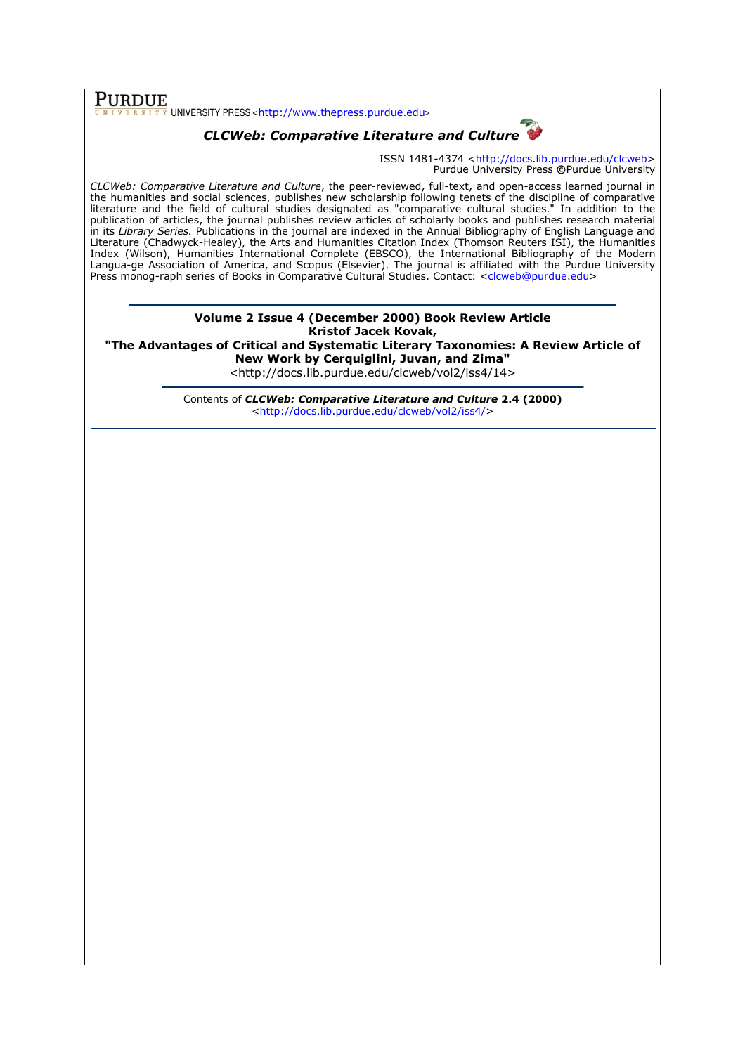$\overline{\textbf{PURDUE}}$  UNIVERSITY PRESS <http://www.thepress.purdue.edu>

# CLCWeb: Comparative Literature and Culture

ISSN 1481-4374 <http://docs.lib.purdue.edu/clcweb> Purdue University Press ©Purdue University

CLCWeb: Comparative Literature and Culture, the peer-reviewed, full-text, and open-access learned journal in the humanities and social sciences, publishes new scholarship following tenets of the discipline of comparative literature and the field of cultural studies designated as "comparative cultural studies." In addition to the publication of articles, the journal publishes review articles of scholarly books and publishes research material in its Library Series. Publications in the journal are indexed in the Annual Bibliography of English Language and Literature (Chadwyck-Healey), the Arts and Humanities Citation Index (Thomson Reuters ISI), the Humanities Index (Wilson), Humanities International Complete (EBSCO), the International Bibliography of the Modern Langua-ge Association of America, and Scopus (Elsevier). The journal is affiliated with the Purdue University Press monog-raph series of Books in Comparative Cultural Studies. Contact: <clcweb@purdue.edu>

> Volume 2 Issue 4 (December 2000) Book Review Article Kristof Jacek Kovak,

"The Advantages of Critical and Systematic Literary Taxonomies: A Review Article of New Work by Cerquiglini, Juvan, and Zima"

<http://docs.lib.purdue.edu/clcweb/vol2/iss4/14>

Contents of CLCWeb: Comparative Literature and Culture 2.4 (2000) <http://docs.lib.purdue.edu/clcweb/vol2/iss4/>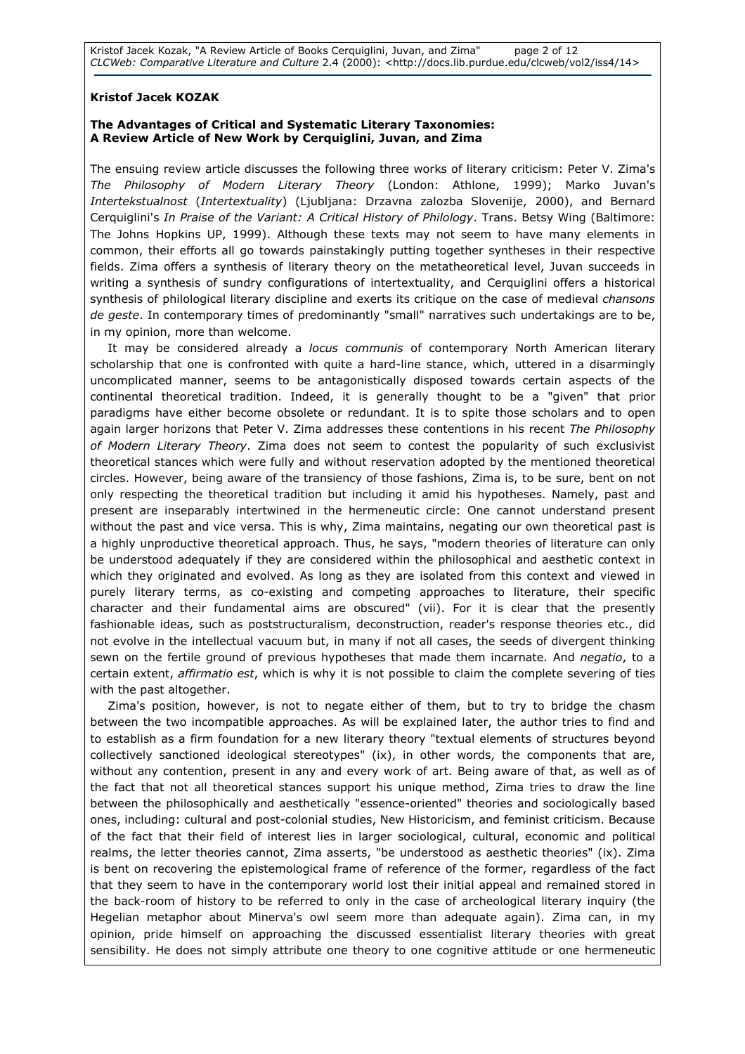Kristof Jacek Kozak, "A Review Article of Books Cerquiglini, Juvan, and Zima" page 2 of 12 CLCWeb: Comparative Literature and Culture 2.4 (2000): <http://docs.lib.purdue.edu/clcweb/vol2/iss4/14>

### Kristof Jacek KOZAK

### The Advantages of Critical and Systematic Literary Taxonomies: A Review Article of New Work by Cerquiglini, Juvan, and Zima

The ensuing review article discusses the following three works of literary criticism: Peter V. Zima's The Philosophy of Modern Literary Theory (London: Athlone, 1999); Marko Juvan's Intertekstualnost (Intertextuality) (Ljubljana: Drzavna zalozba Slovenije, 2000), and Bernard Cerquiglini's In Praise of the Variant: A Critical History of Philology. Trans. Betsy Wing (Baltimore: The Johns Hopkins UP, 1999). Although these texts may not seem to have many elements in common, their efforts all go towards painstakingly putting together syntheses in their respective fields. Zima offers a synthesis of literary theory on the metatheoretical level, Juvan succeeds in writing a synthesis of sundry configurations of intertextuality, and Cerquiglini offers a historical synthesis of philological literary discipline and exerts its critique on the case of medieval *chansons* de geste. In contemporary times of predominantly "small" narratives such undertakings are to be, in my opinion, more than welcome.

It may be considered already a locus communis of contemporary North American literary scholarship that one is confronted with quite a hard-line stance, which, uttered in a disarmingly uncomplicated manner, seems to be antagonistically disposed towards certain aspects of the continental theoretical tradition. Indeed, it is generally thought to be a "given" that prior paradigms have either become obsolete or redundant. It is to spite those scholars and to open again larger horizons that Peter V. Zima addresses these contentions in his recent The Philosophy of Modern Literary Theory. Zima does not seem to contest the popularity of such exclusivist theoretical stances which were fully and without reservation adopted by the mentioned theoretical circles. However, being aware of the transiency of those fashions, Zima is, to be sure, bent on not only respecting the theoretical tradition but including it amid his hypotheses. Namely, past and present are inseparably intertwined in the hermeneutic circle: One cannot understand present without the past and vice versa. This is why, Zima maintains, negating our own theoretical past is a highly unproductive theoretical approach. Thus, he says, "modern theories of literature can only be understood adequately if they are considered within the philosophical and aesthetic context in which they originated and evolved. As long as they are isolated from this context and viewed in purely literary terms, as co-existing and competing approaches to literature, their specific character and their fundamental aims are obscured" (vii). For it is clear that the presently fashionable ideas, such as poststructuralism, deconstruction, reader's response theories etc., did not evolve in the intellectual vacuum but, in many if not all cases, the seeds of divergent thinking sewn on the fertile ground of previous hypotheses that made them incarnate. And negatio, to a certain extent, *affirmatio est*, which is why it is not possible to claim the complete severing of ties with the past altogether.

Zima's position, however, is not to negate either of them, but to try to bridge the chasm between the two incompatible approaches. As will be explained later, the author tries to find and to establish as a firm foundation for a new literary theory "textual elements of structures beyond collectively sanctioned ideological stereotypes" (ix), in other words, the components that are, without any contention, present in any and every work of art. Being aware of that, as well as of the fact that not all theoretical stances support his unique method, Zima tries to draw the line between the philosophically and aesthetically "essence-oriented" theories and sociologically based ones, including: cultural and post-colonial studies, New Historicism, and feminist criticism. Because of the fact that their field of interest lies in larger sociological, cultural, economic and political realms, the letter theories cannot, Zima asserts, "be understood as aesthetic theories" (ix). Zima is bent on recovering the epistemological frame of reference of the former, regardless of the fact that they seem to have in the contemporary world lost their initial appeal and remained stored in the back-room of history to be referred to only in the case of archeological literary inquiry (the Hegelian metaphor about Minerva's owl seem more than adequate again). Zima can, in my opinion, pride himself on approaching the discussed essentialist literary theories with great sensibility. He does not simply attribute one theory to one cognitive attitude or one hermeneutic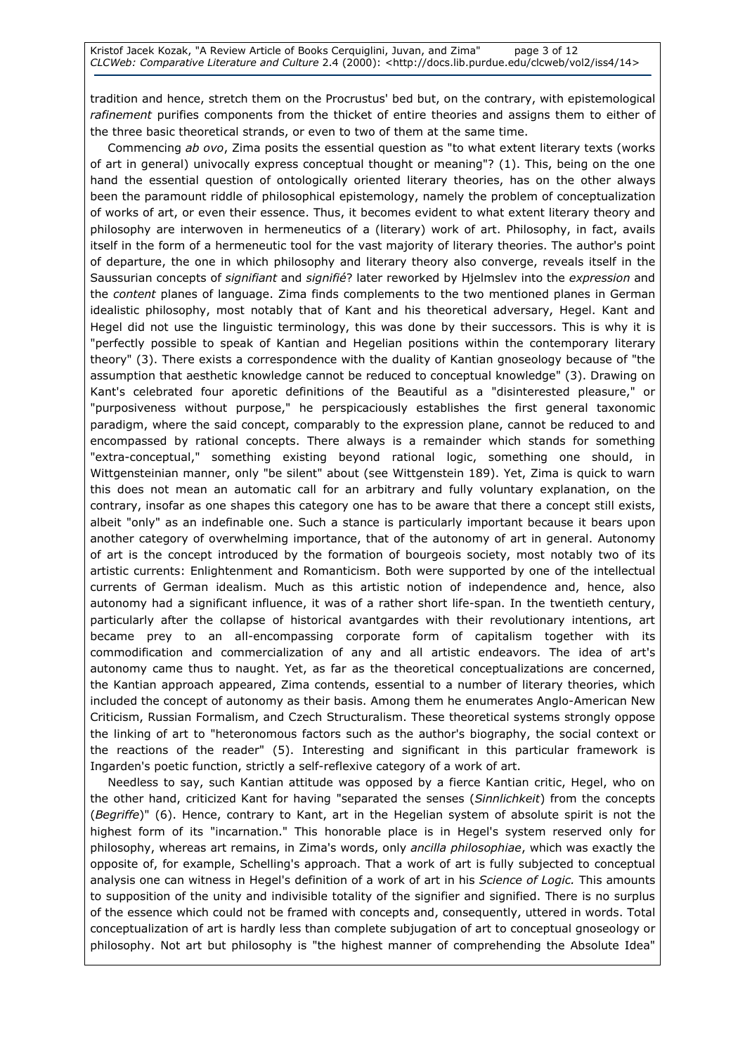tradition and hence, stretch them on the Procrustus' bed but, on the contrary, with epistemological rafinement purifies components from the thicket of entire theories and assigns them to either of the three basic theoretical strands, or even to two of them at the same time.

Commencing ab ovo, Zima posits the essential question as "to what extent literary texts (works of art in general) univocally express conceptual thought or meaning"? (1). This, being on the one hand the essential question of ontologically oriented literary theories, has on the other always been the paramount riddle of philosophical epistemology, namely the problem of conceptualization of works of art, or even their essence. Thus, it becomes evident to what extent literary theory and philosophy are interwoven in hermeneutics of a (literary) work of art. Philosophy, in fact, avails itself in the form of a hermeneutic tool for the vast majority of literary theories. The author's point of departure, the one in which philosophy and literary theory also converge, reveals itself in the Saussurian concepts of signifiant and signifié? later reworked by Hjelmslev into the expression and the content planes of language. Zima finds complements to the two mentioned planes in German idealistic philosophy, most notably that of Kant and his theoretical adversary, Hegel. Kant and Hegel did not use the linguistic terminology, this was done by their successors. This is why it is "perfectly possible to speak of Kantian and Hegelian positions within the contemporary literary theory" (3). There exists a correspondence with the duality of Kantian gnoseology because of "the assumption that aesthetic knowledge cannot be reduced to conceptual knowledge" (3). Drawing on Kant's celebrated four aporetic definitions of the Beautiful as a "disinterested pleasure," or "purposiveness without purpose," he perspicaciously establishes the first general taxonomic paradigm, where the said concept, comparably to the expression plane, cannot be reduced to and encompassed by rational concepts. There always is a remainder which stands for something "extra-conceptual," something existing beyond rational logic, something one should, in Wittgensteinian manner, only "be silent" about (see Wittgenstein 189). Yet, Zima is quick to warn this does not mean an automatic call for an arbitrary and fully voluntary explanation, on the contrary, insofar as one shapes this category one has to be aware that there a concept still exists, albeit "only" as an indefinable one. Such a stance is particularly important because it bears upon another category of overwhelming importance, that of the autonomy of art in general. Autonomy of art is the concept introduced by the formation of bourgeois society, most notably two of its artistic currents: Enlightenment and Romanticism. Both were supported by one of the intellectual currents of German idealism. Much as this artistic notion of independence and, hence, also autonomy had a significant influence, it was of a rather short life-span. In the twentieth century, particularly after the collapse of historical avantgardes with their revolutionary intentions, art became prey to an all-encompassing corporate form of capitalism together with its commodification and commercialization of any and all artistic endeavors. The idea of art's autonomy came thus to naught. Yet, as far as the theoretical conceptualizations are concerned, the Kantian approach appeared, Zima contends, essential to a number of literary theories, which included the concept of autonomy as their basis. Among them he enumerates Anglo-American New Criticism, Russian Formalism, and Czech Structuralism. These theoretical systems strongly oppose the linking of art to "heteronomous factors such as the author's biography, the social context or the reactions of the reader" (5). Interesting and significant in this particular framework is Ingarden's poetic function, strictly a self-reflexive category of a work of art.

Needless to say, such Kantian attitude was opposed by a fierce Kantian critic, Hegel, who on the other hand, criticized Kant for having "separated the senses (Sinnlichkeit) from the concepts (Begriffe)" (6). Hence, contrary to Kant, art in the Hegelian system of absolute spirit is not the highest form of its "incarnation." This honorable place is in Hegel's system reserved only for philosophy, whereas art remains, in Zima's words, only ancilla philosophiae, which was exactly the opposite of, for example, Schelling's approach. That a work of art is fully subjected to conceptual analysis one can witness in Hegel's definition of a work of art in his Science of Logic. This amounts to supposition of the unity and indivisible totality of the signifier and signified. There is no surplus of the essence which could not be framed with concepts and, consequently, uttered in words. Total conceptualization of art is hardly less than complete subjugation of art to conceptual gnoseology or philosophy. Not art but philosophy is "the highest manner of comprehending the Absolute Idea"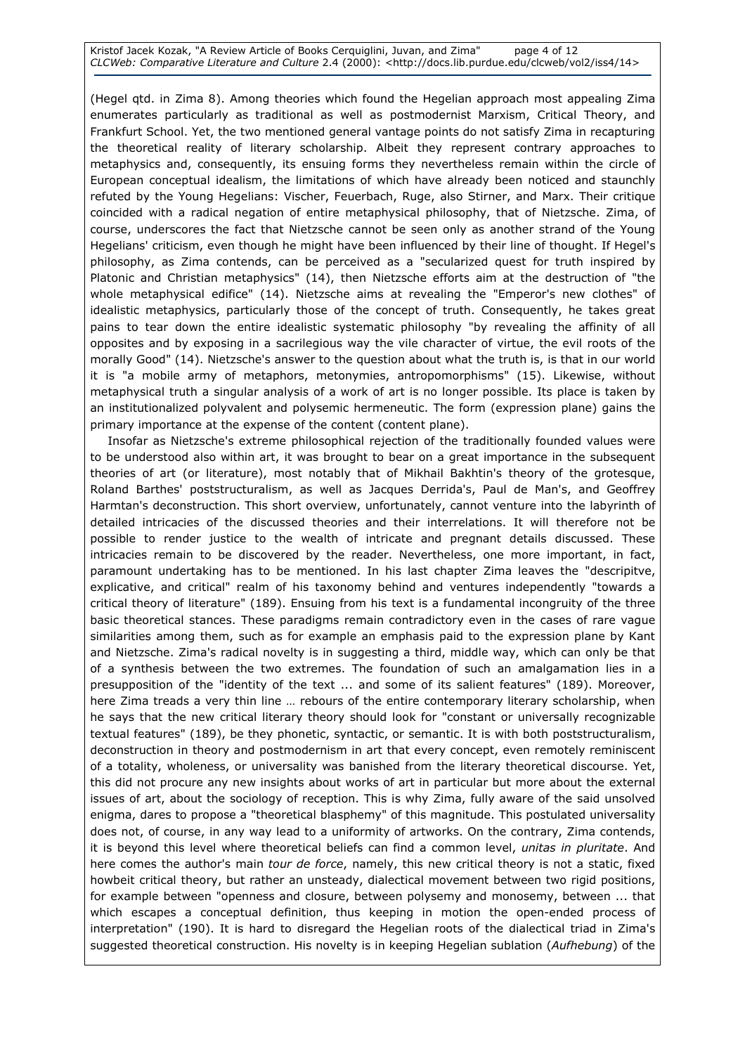Kristof Jacek Kozak, "A Review Article of Books Cerquiglini, Juvan, and Zima" page 4 of 12 CLCWeb: Comparative Literature and Culture 2.4 (2000): <http://docs.lib.purdue.edu/clcweb/vol2/iss4/14>

(Hegel qtd. in Zima 8). Among theories which found the Hegelian approach most appealing Zima enumerates particularly as traditional as well as postmodernist Marxism, Critical Theory, and Frankfurt School. Yet, the two mentioned general vantage points do not satisfy Zima in recapturing the theoretical reality of literary scholarship. Albeit they represent contrary approaches to metaphysics and, consequently, its ensuing forms they nevertheless remain within the circle of European conceptual idealism, the limitations of which have already been noticed and staunchly refuted by the Young Hegelians: Vischer, Feuerbach, Ruge, also Stirner, and Marx. Their critique coincided with a radical negation of entire metaphysical philosophy, that of Nietzsche. Zima, of course, underscores the fact that Nietzsche cannot be seen only as another strand of the Young Hegelians' criticism, even though he might have been influenced by their line of thought. If Hegel's philosophy, as Zima contends, can be perceived as a "secularized quest for truth inspired by Platonic and Christian metaphysics" (14), then Nietzsche efforts aim at the destruction of "the whole metaphysical edifice" (14). Nietzsche aims at revealing the "Emperor's new clothes" of idealistic metaphysics, particularly those of the concept of truth. Consequently, he takes great pains to tear down the entire idealistic systematic philosophy "by revealing the affinity of all opposites and by exposing in a sacrilegious way the vile character of virtue, the evil roots of the morally Good" (14). Nietzsche's answer to the question about what the truth is, is that in our world it is "a mobile army of metaphors, metonymies, antropomorphisms" (15). Likewise, without metaphysical truth a singular analysis of a work of art is no longer possible. Its place is taken by an institutionalized polyvalent and polysemic hermeneutic. The form (expression plane) gains the primary importance at the expense of the content (content plane).

Insofar as Nietzsche's extreme philosophical rejection of the traditionally founded values were to be understood also within art, it was brought to bear on a great importance in the subsequent theories of art (or literature), most notably that of Mikhail Bakhtin's theory of the grotesque, Roland Barthes' poststructuralism, as well as Jacques Derrida's, Paul de Man's, and Geoffrey Harmtan's deconstruction. This short overview, unfortunately, cannot venture into the labyrinth of detailed intricacies of the discussed theories and their interrelations. It will therefore not be possible to render justice to the wealth of intricate and pregnant details discussed. These intricacies remain to be discovered by the reader. Nevertheless, one more important, in fact, paramount undertaking has to be mentioned. In his last chapter Zima leaves the "descripitve, explicative, and critical" realm of his taxonomy behind and ventures independently "towards a critical theory of literature" (189). Ensuing from his text is a fundamental incongruity of the three basic theoretical stances. These paradigms remain contradictory even in the cases of rare vague similarities among them, such as for example an emphasis paid to the expression plane by Kant and Nietzsche. Zima's radical novelty is in suggesting a third, middle way, which can only be that of a synthesis between the two extremes. The foundation of such an amalgamation lies in a presupposition of the "identity of the text ... and some of its salient features" (189). Moreover, here Zima treads a very thin line ... rebours of the entire contemporary literary scholarship, when he says that the new critical literary theory should look for "constant or universally recognizable textual features" (189), be they phonetic, syntactic, or semantic. It is with both poststructuralism, deconstruction in theory and postmodernism in art that every concept, even remotely reminiscent of a totality, wholeness, or universality was banished from the literary theoretical discourse. Yet, this did not procure any new insights about works of art in particular but more about the external issues of art, about the sociology of reception. This is why Zima, fully aware of the said unsolved enigma, dares to propose a "theoretical blasphemy" of this magnitude. This postulated universality does not, of course, in any way lead to a uniformity of artworks. On the contrary, Zima contends, it is beyond this level where theoretical beliefs can find a common level, unitas in pluritate. And here comes the author's main tour de force, namely, this new critical theory is not a static, fixed howbeit critical theory, but rather an unsteady, dialectical movement between two rigid positions, for example between "openness and closure, between polysemy and monosemy, between ... that which escapes a conceptual definition, thus keeping in motion the open-ended process of interpretation" (190). It is hard to disregard the Hegelian roots of the dialectical triad in Zima's suggested theoretical construction. His novelty is in keeping Hegelian sublation (Aufhebung) of the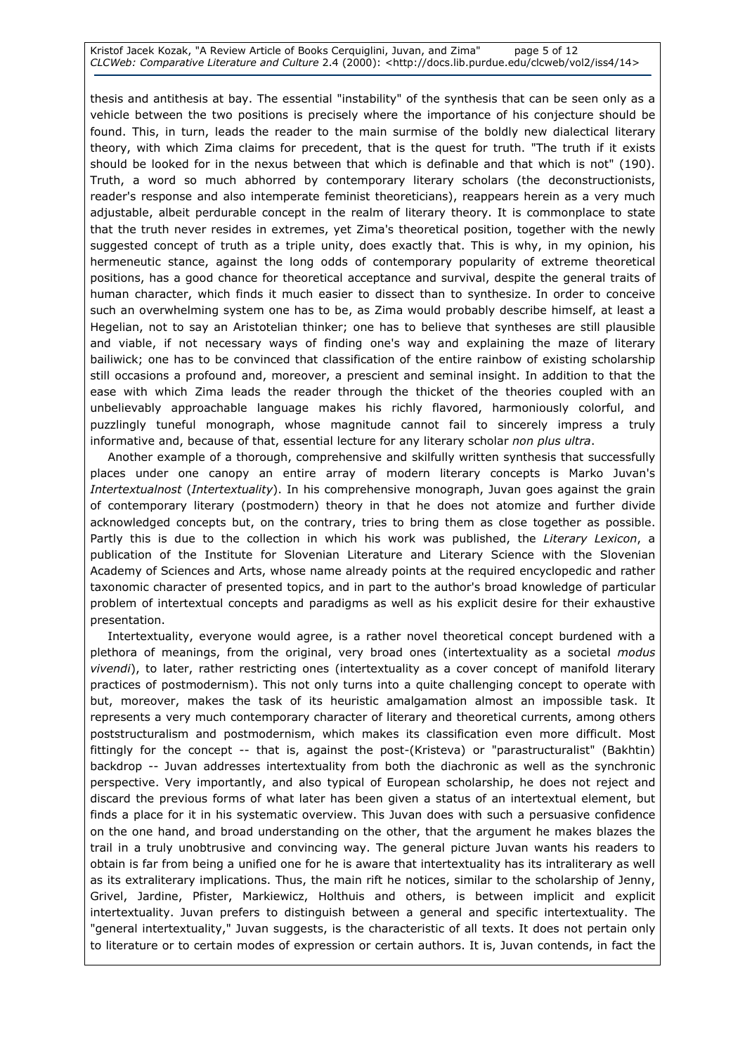Kristof Jacek Kozak, "A Review Article of Books Cerquiglini, Juvan, and Zima" page 5 of 12 CLCWeb: Comparative Literature and Culture 2.4 (2000): <http://docs.lib.purdue.edu/clcweb/vol2/iss4/14>

thesis and antithesis at bay. The essential "instability" of the synthesis that can be seen only as a vehicle between the two positions is precisely where the importance of his conjecture should be found. This, in turn, leads the reader to the main surmise of the boldly new dialectical literary theory, with which Zima claims for precedent, that is the quest for truth. "The truth if it exists should be looked for in the nexus between that which is definable and that which is not" (190). Truth, a word so much abhorred by contemporary literary scholars (the deconstructionists, reader's response and also intemperate feminist theoreticians), reappears herein as a very much adjustable, albeit perdurable concept in the realm of literary theory. It is commonplace to state that the truth never resides in extremes, yet Zima's theoretical position, together with the newly suggested concept of truth as a triple unity, does exactly that. This is why, in my opinion, his hermeneutic stance, against the long odds of contemporary popularity of extreme theoretical positions, has a good chance for theoretical acceptance and survival, despite the general traits of human character, which finds it much easier to dissect than to synthesize. In order to conceive such an overwhelming system one has to be, as Zima would probably describe himself, at least a Hegelian, not to say an Aristotelian thinker; one has to believe that syntheses are still plausible and viable, if not necessary ways of finding one's way and explaining the maze of literary bailiwick; one has to be convinced that classification of the entire rainbow of existing scholarship still occasions a profound and, moreover, a prescient and seminal insight. In addition to that the ease with which Zima leads the reader through the thicket of the theories coupled with an unbelievably approachable language makes his richly flavored, harmoniously colorful, and puzzlingly tuneful monograph, whose magnitude cannot fail to sincerely impress a truly informative and, because of that, essential lecture for any literary scholar non plus ultra.

Another example of a thorough, comprehensive and skilfully written synthesis that successfully places under one canopy an entire array of modern literary concepts is Marko Juvan's Intertextualnost (Intertextuality). In his comprehensive monograph, Juvan goes against the grain of contemporary literary (postmodern) theory in that he does not atomize and further divide acknowledged concepts but, on the contrary, tries to bring them as close together as possible. Partly this is due to the collection in which his work was published, the Literary Lexicon, a publication of the Institute for Slovenian Literature and Literary Science with the Slovenian Academy of Sciences and Arts, whose name already points at the required encyclopedic and rather taxonomic character of presented topics, and in part to the author's broad knowledge of particular problem of intertextual concepts and paradigms as well as his explicit desire for their exhaustive presentation.

Intertextuality, everyone would agree, is a rather novel theoretical concept burdened with a plethora of meanings, from the original, very broad ones (intertextuality as a societal modus vivendi), to later, rather restricting ones (intertextuality as a cover concept of manifold literary practices of postmodernism). This not only turns into a quite challenging concept to operate with but, moreover, makes the task of its heuristic amalgamation almost an impossible task. It represents a very much contemporary character of literary and theoretical currents, among others poststructuralism and postmodernism, which makes its classification even more difficult. Most fittingly for the concept -- that is, against the post-(Kristeva) or "parastructuralist" (Bakhtin) backdrop -- Juvan addresses intertextuality from both the diachronic as well as the synchronic perspective. Very importantly, and also typical of European scholarship, he does not reject and discard the previous forms of what later has been given a status of an intertextual element, but finds a place for it in his systematic overview. This Juvan does with such a persuasive confidence on the one hand, and broad understanding on the other, that the argument he makes blazes the trail in a truly unobtrusive and convincing way. The general picture Juvan wants his readers to obtain is far from being a unified one for he is aware that intertextuality has its intraliterary as well as its extraliterary implications. Thus, the main rift he notices, similar to the scholarship of Jenny, Grivel, Jardine, Pfister, Markiewicz, Holthuis and others, is between implicit and explicit intertextuality. Juvan prefers to distinguish between a general and specific intertextuality. The "general intertextuality," Juvan suggests, is the characteristic of all texts. It does not pertain only to literature or to certain modes of expression or certain authors. It is, Juvan contends, in fact the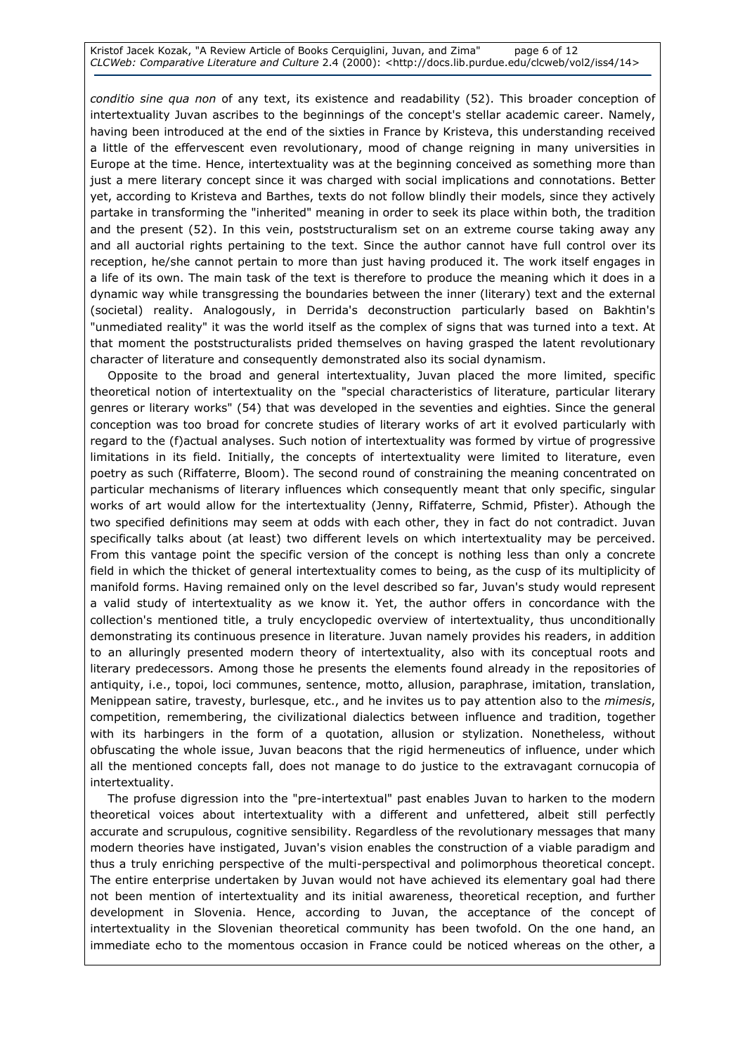Kristof Jacek Kozak, "A Review Article of Books Cerquiglini, Juvan, and Zima" page 6 of 12 CLCWeb: Comparative Literature and Culture 2.4 (2000): <http://docs.lib.purdue.edu/clcweb/vol2/iss4/14>

conditio sine qua non of any text, its existence and readability (52). This broader conception of intertextuality Juvan ascribes to the beginnings of the concept's stellar academic career. Namely, having been introduced at the end of the sixties in France by Kristeva, this understanding received a little of the effervescent even revolutionary, mood of change reigning in many universities in Europe at the time. Hence, intertextuality was at the beginning conceived as something more than just a mere literary concept since it was charged with social implications and connotations. Better yet, according to Kristeva and Barthes, texts do not follow blindly their models, since they actively partake in transforming the "inherited" meaning in order to seek its place within both, the tradition and the present (52). In this vein, poststructuralism set on an extreme course taking away any and all auctorial rights pertaining to the text. Since the author cannot have full control over its reception, he/she cannot pertain to more than just having produced it. The work itself engages in a life of its own. The main task of the text is therefore to produce the meaning which it does in a dynamic way while transgressing the boundaries between the inner (literary) text and the external (societal) reality. Analogously, in Derrida's deconstruction particularly based on Bakhtin's "unmediated reality" it was the world itself as the complex of signs that was turned into a text. At that moment the poststructuralists prided themselves on having grasped the latent revolutionary character of literature and consequently demonstrated also its social dynamism.

Opposite to the broad and general intertextuality, Juvan placed the more limited, specific theoretical notion of intertextuality on the "special characteristics of literature, particular literary genres or literary works" (54) that was developed in the seventies and eighties. Since the general conception was too broad for concrete studies of literary works of art it evolved particularly with regard to the (f)actual analyses. Such notion of intertextuality was formed by virtue of progressive limitations in its field. Initially, the concepts of intertextuality were limited to literature, even poetry as such (Riffaterre, Bloom). The second round of constraining the meaning concentrated on particular mechanisms of literary influences which consequently meant that only specific, singular works of art would allow for the intertextuality (Jenny, Riffaterre, Schmid, Pfister). Athough the two specified definitions may seem at odds with each other, they in fact do not contradict. Juvan specifically talks about (at least) two different levels on which intertextuality may be perceived. From this vantage point the specific version of the concept is nothing less than only a concrete field in which the thicket of general intertextuality comes to being, as the cusp of its multiplicity of manifold forms. Having remained only on the level described so far, Juvan's study would represent a valid study of intertextuality as we know it. Yet, the author offers in concordance with the collection's mentioned title, a truly encyclopedic overview of intertextuality, thus unconditionally demonstrating its continuous presence in literature. Juvan namely provides his readers, in addition to an alluringly presented modern theory of intertextuality, also with its conceptual roots and literary predecessors. Among those he presents the elements found already in the repositories of antiquity, i.e., topoi, loci communes, sentence, motto, allusion, paraphrase, imitation, translation, Menippean satire, travesty, burlesque, etc., and he invites us to pay attention also to the mimesis, competition, remembering, the civilizational dialectics between influence and tradition, together with its harbingers in the form of a quotation, allusion or stylization. Nonetheless, without obfuscating the whole issue, Juvan beacons that the rigid hermeneutics of influence, under which all the mentioned concepts fall, does not manage to do justice to the extravagant cornucopia of intertextuality.

The profuse digression into the "pre-intertextual" past enables Juvan to harken to the modern theoretical voices about intertextuality with a different and unfettered, albeit still perfectly accurate and scrupulous, cognitive sensibility. Regardless of the revolutionary messages that many modern theories have instigated, Juvan's vision enables the construction of a viable paradigm and thus a truly enriching perspective of the multi-perspectival and polimorphous theoretical concept. The entire enterprise undertaken by Juvan would not have achieved its elementary goal had there not been mention of intertextuality and its initial awareness, theoretical reception, and further development in Slovenia. Hence, according to Juvan, the acceptance of the concept of intertextuality in the Slovenian theoretical community has been twofold. On the one hand, an immediate echo to the momentous occasion in France could be noticed whereas on the other, a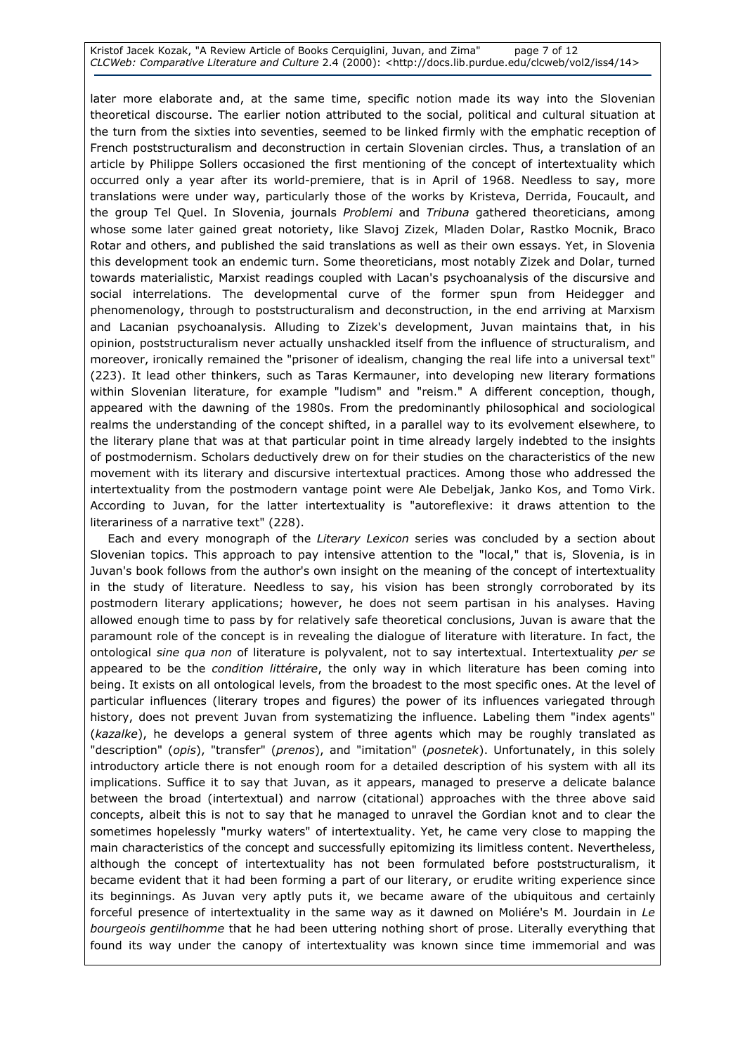Kristof Jacek Kozak, "A Review Article of Books Cerquiglini, Juvan, and Zima" page 7 of 12 CLCWeb: Comparative Literature and Culture 2.4 (2000): <http://docs.lib.purdue.edu/clcweb/vol2/iss4/14>

later more elaborate and, at the same time, specific notion made its way into the Slovenian theoretical discourse. The earlier notion attributed to the social, political and cultural situation at the turn from the sixties into seventies, seemed to be linked firmly with the emphatic reception of French poststructuralism and deconstruction in certain Slovenian circles. Thus, a translation of an article by Philippe Sollers occasioned the first mentioning of the concept of intertextuality which occurred only a year after its world-premiere, that is in April of 1968. Needless to say, more translations were under way, particularly those of the works by Kristeva, Derrida, Foucault, and the group Tel Quel. In Slovenia, journals Problemi and Tribuna gathered theoreticians, among whose some later gained great notoriety, like Slavoj Zizek, Mladen Dolar, Rastko Mocnik, Braco Rotar and others, and published the said translations as well as their own essays. Yet, in Slovenia this development took an endemic turn. Some theoreticians, most notably Zizek and Dolar, turned towards materialistic, Marxist readings coupled with Lacan's psychoanalysis of the discursive and social interrelations. The developmental curve of the former spun from Heidegger and phenomenology, through to poststructuralism and deconstruction, in the end arriving at Marxism and Lacanian psychoanalysis. Alluding to Zizek's development, Juvan maintains that, in his opinion, poststructuralism never actually unshackled itself from the influence of structuralism, and moreover, ironically remained the "prisoner of idealism, changing the real life into a universal text" (223). It lead other thinkers, such as Taras Kermauner, into developing new literary formations within Slovenian literature, for example "ludism" and "reism." A different conception, though, appeared with the dawning of the 1980s. From the predominantly philosophical and sociological realms the understanding of the concept shifted, in a parallel way to its evolvement elsewhere, to the literary plane that was at that particular point in time already largely indebted to the insights of postmodernism. Scholars deductively drew on for their studies on the characteristics of the new movement with its literary and discursive intertextual practices. Among those who addressed the intertextuality from the postmodern vantage point were Ale Debeljak, Janko Kos, and Tomo Virk. According to Juvan, for the latter intertextuality is "autoreflexive: it draws attention to the literariness of a narrative text" (228).

Each and every monograph of the Literary Lexicon series was concluded by a section about Slovenian topics. This approach to pay intensive attention to the "local," that is, Slovenia, is in Juvan's book follows from the author's own insight on the meaning of the concept of intertextuality in the study of literature. Needless to say, his vision has been strongly corroborated by its postmodern literary applications; however, he does not seem partisan in his analyses. Having allowed enough time to pass by for relatively safe theoretical conclusions, Juvan is aware that the paramount role of the concept is in revealing the dialogue of literature with literature. In fact, the ontological sine qua non of literature is polyvalent, not to say intertextual. Intertextuality per se appeared to be the *condition littéraire*, the only way in which literature has been coming into being. It exists on all ontological levels, from the broadest to the most specific ones. At the level of particular influences (literary tropes and figures) the power of its influences variegated through history, does not prevent Juvan from systematizing the influence. Labeling them "index agents" (kazalke), he develops a general system of three agents which may be roughly translated as "description" (opis), "transfer" (prenos), and "imitation" (posnetek). Unfortunately, in this solely introductory article there is not enough room for a detailed description of his system with all its implications. Suffice it to say that Juvan, as it appears, managed to preserve a delicate balance between the broad (intertextual) and narrow (citational) approaches with the three above said concepts, albeit this is not to say that he managed to unravel the Gordian knot and to clear the sometimes hopelessly "murky waters" of intertextuality. Yet, he came very close to mapping the main characteristics of the concept and successfully epitomizing its limitless content. Nevertheless, although the concept of intertextuality has not been formulated before poststructuralism, it became evident that it had been forming a part of our literary, or erudite writing experience since its beginnings. As Juvan very aptly puts it, we became aware of the ubiquitous and certainly forceful presence of intertextuality in the same way as it dawned on Moliére's M. Jourdain in Le bourgeois gentilhomme that he had been uttering nothing short of prose. Literally everything that found its way under the canopy of intertextuality was known since time immemorial and was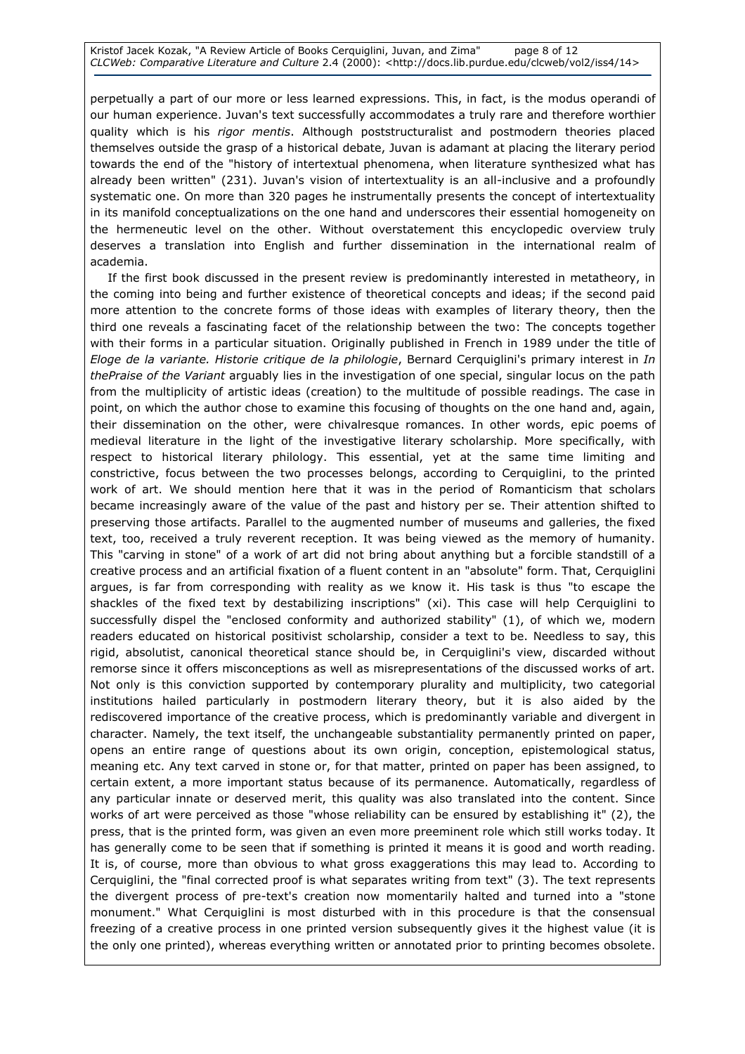Kristof Jacek Kozak, "A Review Article of Books Cerquiglini, Juvan, and Zima" page 8 of 12 CLCWeb: Comparative Literature and Culture 2.4 (2000): <http://docs.lib.purdue.edu/clcweb/vol2/iss4/14>

perpetually a part of our more or less learned expressions. This, in fact, is the modus operandi of our human experience. Juvan's text successfully accommodates a truly rare and therefore worthier quality which is his rigor mentis. Although poststructuralist and postmodern theories placed themselves outside the grasp of a historical debate, Juvan is adamant at placing the literary period towards the end of the "history of intertextual phenomena, when literature synthesized what has already been written" (231). Juvan's vision of intertextuality is an all-inclusive and a profoundly systematic one. On more than 320 pages he instrumentally presents the concept of intertextuality in its manifold conceptualizations on the one hand and underscores their essential homogeneity on the hermeneutic level on the other. Without overstatement this encyclopedic overview truly deserves a translation into English and further dissemination in the international realm of academia.

If the first book discussed in the present review is predominantly interested in metatheory, in the coming into being and further existence of theoretical concepts and ideas; if the second paid more attention to the concrete forms of those ideas with examples of literary theory, then the third one reveals a fascinating facet of the relationship between the two: The concepts together with their forms in a particular situation. Originally published in French in 1989 under the title of Eloge de la variante. Historie critique de la philologie, Bernard Cerquiglini's primary interest in In thePraise of the Variant arguably lies in the investigation of one special, singular locus on the path from the multiplicity of artistic ideas (creation) to the multitude of possible readings. The case in point, on which the author chose to examine this focusing of thoughts on the one hand and, again, their dissemination on the other, were chivalresque romances. In other words, epic poems of medieval literature in the light of the investigative literary scholarship. More specifically, with respect to historical literary philology. This essential, yet at the same time limiting and constrictive, focus between the two processes belongs, according to Cerquiglini, to the printed work of art. We should mention here that it was in the period of Romanticism that scholars became increasingly aware of the value of the past and history per se. Their attention shifted to preserving those artifacts. Parallel to the augmented number of museums and galleries, the fixed text, too, received a truly reverent reception. It was being viewed as the memory of humanity. This "carving in stone" of a work of art did not bring about anything but a forcible standstill of a creative process and an artificial fixation of a fluent content in an "absolute" form. That, Cerquiglini argues, is far from corresponding with reality as we know it. His task is thus "to escape the shackles of the fixed text by destabilizing inscriptions" (xi). This case will help Cerquiglini to successfully dispel the "enclosed conformity and authorized stability" (1), of which we, modern readers educated on historical positivist scholarship, consider a text to be. Needless to say, this rigid, absolutist, canonical theoretical stance should be, in Cerquiglini's view, discarded without remorse since it offers misconceptions as well as misrepresentations of the discussed works of art. Not only is this conviction supported by contemporary plurality and multiplicity, two categorial institutions hailed particularly in postmodern literary theory, but it is also aided by the rediscovered importance of the creative process, which is predominantly variable and divergent in character. Namely, the text itself, the unchangeable substantiality permanently printed on paper, opens an entire range of questions about its own origin, conception, epistemological status, meaning etc. Any text carved in stone or, for that matter, printed on paper has been assigned, to certain extent, a more important status because of its permanence. Automatically, regardless of any particular innate or deserved merit, this quality was also translated into the content. Since works of art were perceived as those "whose reliability can be ensured by establishing it" (2), the press, that is the printed form, was given an even more preeminent role which still works today. It has generally come to be seen that if something is printed it means it is good and worth reading. It is, of course, more than obvious to what gross exaggerations this may lead to. According to Cerquiglini, the "final corrected proof is what separates writing from text" (3). The text represents the divergent process of pre-text's creation now momentarily halted and turned into a "stone monument." What Cerquiglini is most disturbed with in this procedure is that the consensual freezing of a creative process in one printed version subsequently gives it the highest value (it is the only one printed), whereas everything written or annotated prior to printing becomes obsolete.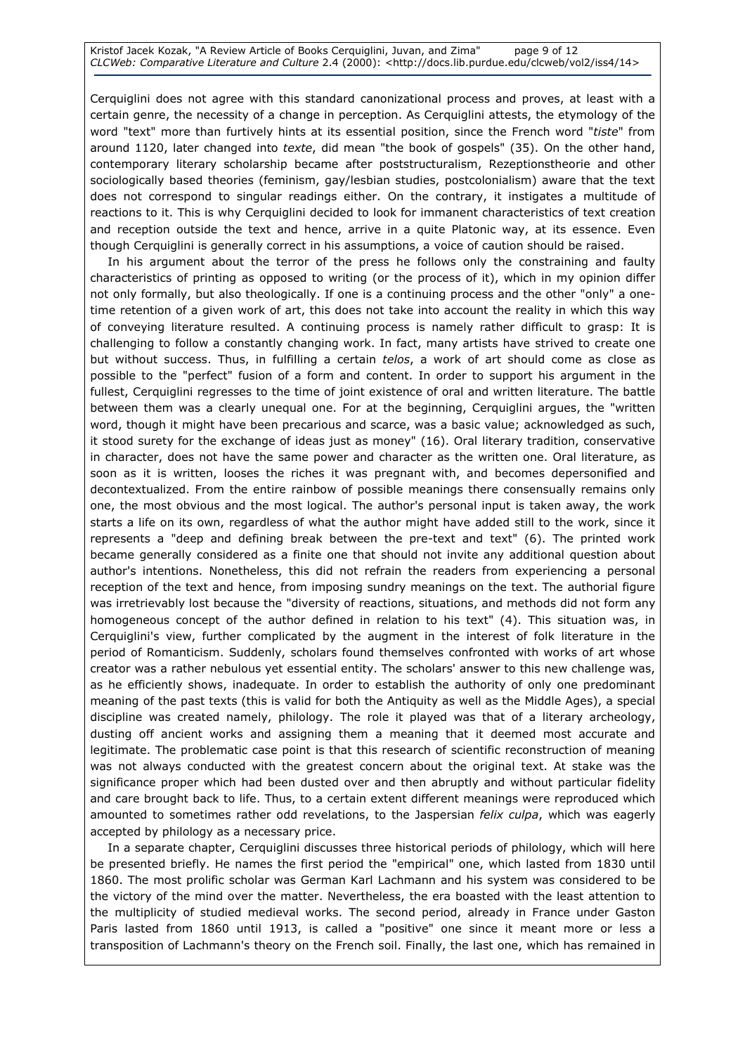Kristof Jacek Kozak, "A Review Article of Books Cerquiglini, Juvan, and Zima" page 9 of 12 CLCWeb: Comparative Literature and Culture 2.4 (2000): <http://docs.lib.purdue.edu/clcweb/vol2/iss4/14>

Cerquiglini does not agree with this standard canonizational process and proves, at least with a certain genre, the necessity of a change in perception. As Cerquiglini attests, the etymology of the word "text" more than furtively hints at its essential position, since the French word "tiste" from around 1120, later changed into texte, did mean "the book of gospels" (35). On the other hand, contemporary literary scholarship became after poststructuralism, Rezeptionstheorie and other sociologically based theories (feminism, gay/lesbian studies, postcolonialism) aware that the text does not correspond to singular readings either. On the contrary, it instigates a multitude of reactions to it. This is why Cerquiglini decided to look for immanent characteristics of text creation and reception outside the text and hence, arrive in a quite Platonic way, at its essence. Even though Cerquiglini is generally correct in his assumptions, a voice of caution should be raised.

In his argument about the terror of the press he follows only the constraining and faulty characteristics of printing as opposed to writing (or the process of it), which in my opinion differ not only formally, but also theologically. If one is a continuing process and the other "only" a onetime retention of a given work of art, this does not take into account the reality in which this way of conveying literature resulted. A continuing process is namely rather difficult to grasp: It is challenging to follow a constantly changing work. In fact, many artists have strived to create one but without success. Thus, in fulfilling a certain telos, a work of art should come as close as possible to the "perfect" fusion of a form and content. In order to support his argument in the fullest, Cerquiglini regresses to the time of joint existence of oral and written literature. The battle between them was a clearly unequal one. For at the beginning, Cerquiglini argues, the "written word, though it might have been precarious and scarce, was a basic value; acknowledged as such, it stood surety for the exchange of ideas just as money" (16). Oral literary tradition, conservative in character, does not have the same power and character as the written one. Oral literature, as soon as it is written, looses the riches it was pregnant with, and becomes depersonified and decontextualized. From the entire rainbow of possible meanings there consensually remains only one, the most obvious and the most logical. The author's personal input is taken away, the work starts a life on its own, regardless of what the author might have added still to the work, since it represents a "deep and defining break between the pre-text and text" (6). The printed work became generally considered as a finite one that should not invite any additional question about author's intentions. Nonetheless, this did not refrain the readers from experiencing a personal reception of the text and hence, from imposing sundry meanings on the text. The authorial figure was irretrievably lost because the "diversity of reactions, situations, and methods did not form any homogeneous concept of the author defined in relation to his text" (4). This situation was, in Cerquiglini's view, further complicated by the augment in the interest of folk literature in the period of Romanticism. Suddenly, scholars found themselves confronted with works of art whose creator was a rather nebulous yet essential entity. The scholars' answer to this new challenge was, as he efficiently shows, inadequate. In order to establish the authority of only one predominant meaning of the past texts (this is valid for both the Antiquity as well as the Middle Ages), a special discipline was created namely, philology. The role it played was that of a literary archeology, dusting off ancient works and assigning them a meaning that it deemed most accurate and legitimate. The problematic case point is that this research of scientific reconstruction of meaning was not always conducted with the greatest concern about the original text. At stake was the significance proper which had been dusted over and then abruptly and without particular fidelity and care brought back to life. Thus, to a certain extent different meanings were reproduced which amounted to sometimes rather odd revelations, to the Jaspersian felix culpa, which was eagerly accepted by philology as a necessary price.

In a separate chapter, Cerquiglini discusses three historical periods of philology, which will here be presented briefly. He names the first period the "empirical" one, which lasted from 1830 until 1860. The most prolific scholar was German Karl Lachmann and his system was considered to be the victory of the mind over the matter. Nevertheless, the era boasted with the least attention to the multiplicity of studied medieval works. The second period, already in France under Gaston Paris lasted from 1860 until 1913, is called a "positive" one since it meant more or less a transposition of Lachmann's theory on the French soil. Finally, the last one, which has remained in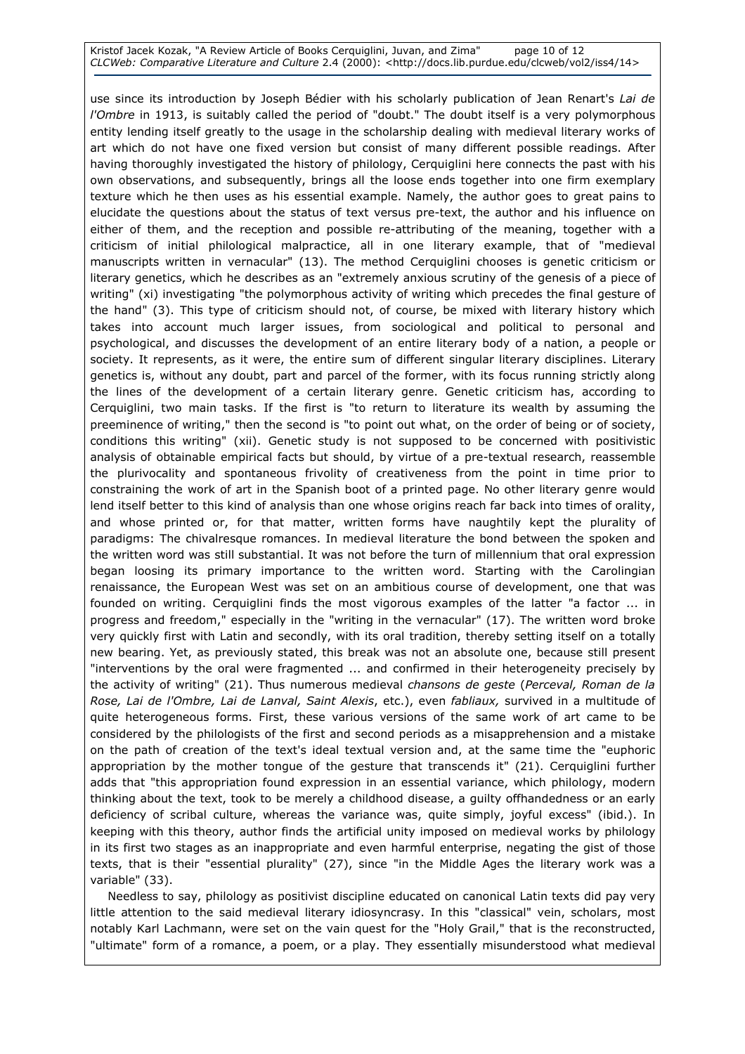### Kristof Jacek Kozak, "A Review Article of Books Cerquiglini, Juvan, and Zima" page 10 of 12 CLCWeb: Comparative Literature and Culture 2.4 (2000): <http://docs.lib.purdue.edu/clcweb/vol2/iss4/14>

use since its introduction by Joseph Bédier with his scholarly publication of Jean Renart's Lai de l'Ombre in 1913, is suitably called the period of "doubt." The doubt itself is a very polymorphous entity lending itself greatly to the usage in the scholarship dealing with medieval literary works of art which do not have one fixed version but consist of many different possible readings. After having thoroughly investigated the history of philology, Cerquiglini here connects the past with his own observations, and subsequently, brings all the loose ends together into one firm exemplary texture which he then uses as his essential example. Namely, the author goes to great pains to elucidate the questions about the status of text versus pre-text, the author and his influence on either of them, and the reception and possible re-attributing of the meaning, together with a criticism of initial philological malpractice, all in one literary example, that of "medieval manuscripts written in vernacular" (13). The method Cerquiglini chooses is genetic criticism or literary genetics, which he describes as an "extremely anxious scrutiny of the genesis of a piece of writing" (xi) investigating "the polymorphous activity of writing which precedes the final gesture of the hand" (3). This type of criticism should not, of course, be mixed with literary history which takes into account much larger issues, from sociological and political to personal and psychological, and discusses the development of an entire literary body of a nation, a people or society. It represents, as it were, the entire sum of different singular literary disciplines. Literary genetics is, without any doubt, part and parcel of the former, with its focus running strictly along the lines of the development of a certain literary genre. Genetic criticism has, according to Cerquiglini, two main tasks. If the first is "to return to literature its wealth by assuming the preeminence of writing," then the second is "to point out what, on the order of being or of society, conditions this writing" (xii). Genetic study is not supposed to be concerned with positivistic analysis of obtainable empirical facts but should, by virtue of a pre-textual research, reassemble the plurivocality and spontaneous frivolity of creativeness from the point in time prior to constraining the work of art in the Spanish boot of a printed page. No other literary genre would lend itself better to this kind of analysis than one whose origins reach far back into times of orality, and whose printed or, for that matter, written forms have naughtily kept the plurality of paradigms: The chivalresque romances. In medieval literature the bond between the spoken and the written word was still substantial. It was not before the turn of millennium that oral expression began loosing its primary importance to the written word. Starting with the Carolingian renaissance, the European West was set on an ambitious course of development, one that was founded on writing. Cerquiglini finds the most vigorous examples of the latter "a factor ... in progress and freedom," especially in the "writing in the vernacular" (17). The written word broke very quickly first with Latin and secondly, with its oral tradition, thereby setting itself on a totally new bearing. Yet, as previously stated, this break was not an absolute one, because still present "interventions by the oral were fragmented ... and confirmed in their heterogeneity precisely by the activity of writing" (21). Thus numerous medieval chansons de geste (Perceval, Roman de la Rose, Lai de l'Ombre, Lai de Lanval, Saint Alexis, etc.), even fabliaux, survived in a multitude of quite heterogeneous forms. First, these various versions of the same work of art came to be considered by the philologists of the first and second periods as a misapprehension and a mistake on the path of creation of the text's ideal textual version and, at the same time the "euphoric appropriation by the mother tongue of the gesture that transcends it" (21). Cerquiglini further adds that "this appropriation found expression in an essential variance, which philology, modern thinking about the text, took to be merely a childhood disease, a guilty offhandedness or an early deficiency of scribal culture, whereas the variance was, quite simply, joyful excess" (ibid.). In keeping with this theory, author finds the artificial unity imposed on medieval works by philology in its first two stages as an inappropriate and even harmful enterprise, negating the gist of those texts, that is their "essential plurality" (27), since "in the Middle Ages the literary work was a variable" (33).

Needless to say, philology as positivist discipline educated on canonical Latin texts did pay very little attention to the said medieval literary idiosyncrasy. In this "classical" vein, scholars, most notably Karl Lachmann, were set on the vain quest for the "Holy Grail," that is the reconstructed, "ultimate" form of a romance, a poem, or a play. They essentially misunderstood what medieval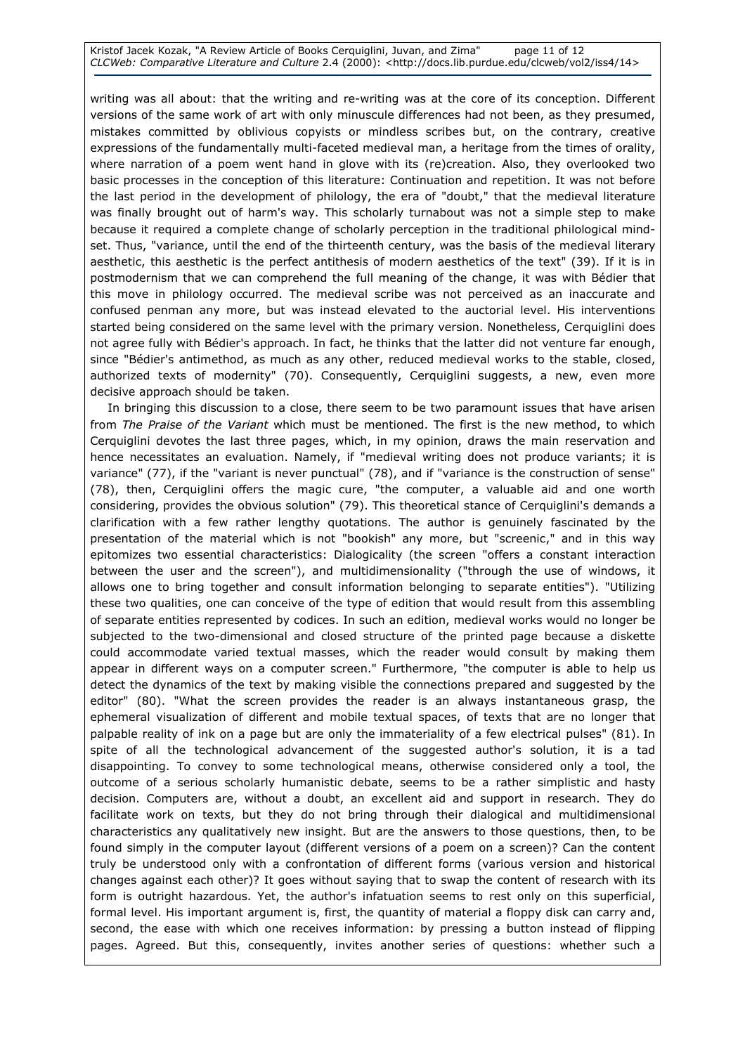Kristof Jacek Kozak, "A Review Article of Books Cerquiglini, Juvan, and Zima" page 11 of 12 CLCWeb: Comparative Literature and Culture 2.4 (2000): <http://docs.lib.purdue.edu/clcweb/vol2/iss4/14>

writing was all about: that the writing and re-writing was at the core of its conception. Different versions of the same work of art with only minuscule differences had not been, as they presumed, mistakes committed by oblivious copyists or mindless scribes but, on the contrary, creative expressions of the fundamentally multi-faceted medieval man, a heritage from the times of orality, where narration of a poem went hand in glove with its (re)creation. Also, they overlooked two basic processes in the conception of this literature: Continuation and repetition. It was not before the last period in the development of philology, the era of "doubt," that the medieval literature was finally brought out of harm's way. This scholarly turnabout was not a simple step to make because it required a complete change of scholarly perception in the traditional philological mindset. Thus, "variance, until the end of the thirteenth century, was the basis of the medieval literary aesthetic, this aesthetic is the perfect antithesis of modern aesthetics of the text" (39). If it is in postmodernism that we can comprehend the full meaning of the change, it was with Bédier that this move in philology occurred. The medieval scribe was not perceived as an inaccurate and confused penman any more, but was instead elevated to the auctorial level. His interventions started being considered on the same level with the primary version. Nonetheless, Cerquiglini does not agree fully with Bédier's approach. In fact, he thinks that the latter did not venture far enough, since "Bédier's antimethod, as much as any other, reduced medieval works to the stable, closed, authorized texts of modernity" (70). Consequently, Cerquiglini suggests, a new, even more decisive approach should be taken.

In bringing this discussion to a close, there seem to be two paramount issues that have arisen from The Praise of the Variant which must be mentioned. The first is the new method, to which Cerquiglini devotes the last three pages, which, in my opinion, draws the main reservation and hence necessitates an evaluation. Namely, if "medieval writing does not produce variants; it is variance" (77), if the "variant is never punctual" (78), and if "variance is the construction of sense" (78), then, Cerquiglini offers the magic cure, "the computer, a valuable aid and one worth considering, provides the obvious solution" (79). This theoretical stance of Cerquiglini's demands a clarification with a few rather lengthy quotations. The author is genuinely fascinated by the presentation of the material which is not "bookish" any more, but "screenic," and in this way epitomizes two essential characteristics: Dialogicality (the screen "offers a constant interaction between the user and the screen"), and multidimensionality ("through the use of windows, it allows one to bring together and consult information belonging to separate entities"). "Utilizing these two qualities, one can conceive of the type of edition that would result from this assembling of separate entities represented by codices. In such an edition, medieval works would no longer be subjected to the two-dimensional and closed structure of the printed page because a diskette could accommodate varied textual masses, which the reader would consult by making them appear in different ways on a computer screen." Furthermore, "the computer is able to help us detect the dynamics of the text by making visible the connections prepared and suggested by the editor" (80). "What the screen provides the reader is an always instantaneous grasp, the ephemeral visualization of different and mobile textual spaces, of texts that are no longer that palpable reality of ink on a page but are only the immateriality of a few electrical pulses" (81). In spite of all the technological advancement of the suggested author's solution, it is a tad disappointing. To convey to some technological means, otherwise considered only a tool, the outcome of a serious scholarly humanistic debate, seems to be a rather simplistic and hasty decision. Computers are, without a doubt, an excellent aid and support in research. They do facilitate work on texts, but they do not bring through their dialogical and multidimensional characteristics any qualitatively new insight. But are the answers to those questions, then, to be found simply in the computer layout (different versions of a poem on a screen)? Can the content truly be understood only with a confrontation of different forms (various version and historical changes against each other)? It goes without saying that to swap the content of research with its form is outright hazardous. Yet, the author's infatuation seems to rest only on this superficial, formal level. His important argument is, first, the quantity of material a floppy disk can carry and, second, the ease with which one receives information: by pressing a button instead of flipping pages. Agreed. But this, consequently, invites another series of questions: whether such a